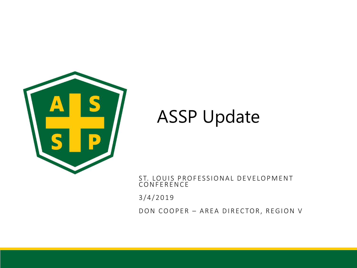

# ASSP Update

ST. LOUIS PROFESSIONAL DEVELOPMENT CONFERENCE

3 / 4 / 2 0 1 9

DON COOPER - AREA DIRECTOR, REGION V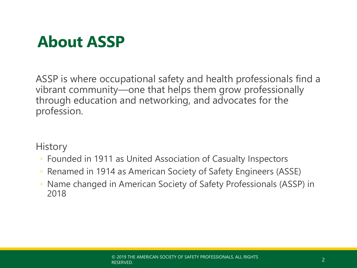## **About ASSP**

ASSP is where occupational safety and health professionals find a vibrant community—one that helps them grow professionally through education and networking, and advocates for the profession.

**History** 

- Founded in 1911 as United Association of Casualty Inspectors
- Renamed in 1914 as American Society of Safety Engineers (ASSE)
- Name changed in American Society of Safety Professionals (ASSP) in 2018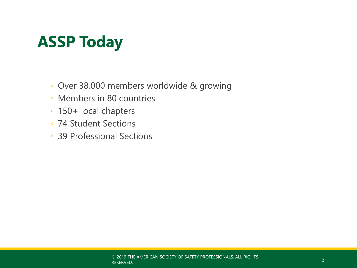# **ASSP Today**

- Over 38,000 members worldwide & growing
- Members in 80 countries
- 150+ local chapters
- 74 Student Sections
- 39 Professional Sections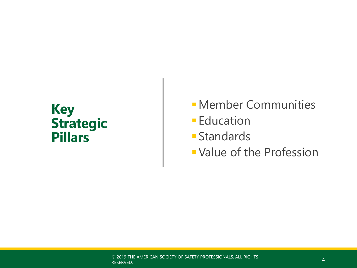### **Key Strategic Pillars**

- *E* Member Communities
- **Education**
- **E** Standards
- **· Value of the Profession**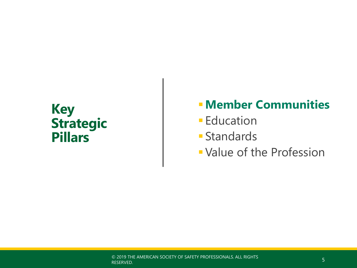### **Key Strategic Pillars**

### ▪**Member Communities**

- **Education**
- **E** Standards
- **· Value of the Profession**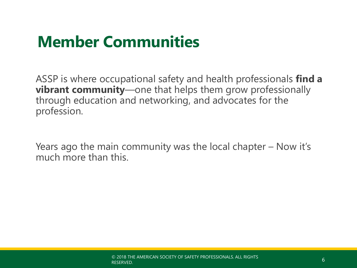ASSP is where occupational safety and health professionals **find a vibrant community**—one that helps them grow professionally through education and networking, and advocates for the profession.

Years ago the main community was the local chapter – Now it's much more than this.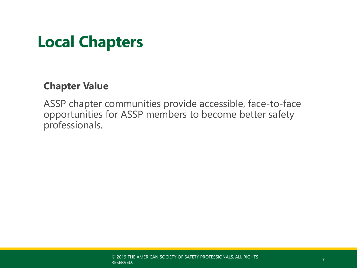## **Local Chapters**

### **Chapter Value**

ASSP chapter communities provide accessible, face-to-face opportunities for ASSP members to become better safety professionals.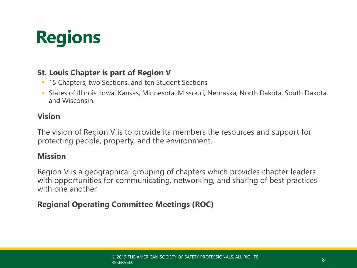

### **St. Louis Chapter is part of Region V**

- 15 Chapters, two Sections, and ten Student Sections
- States of Illinois, Iowa, Kansas, Minnesota, Missouri, Nebraska, North Dakota, South Dakota, and Wisconsin.

### **Vision**

The vision of Region V is to provide its members the resources and support for protecting people, property, and the environment.

### **Mission**

Region V is a geographical grouping of chapters which provides chapter leaders with opportunities for communicating, networking, and sharing of best practices with one another.

### **Regional Operating Committee Meetings (ROC)**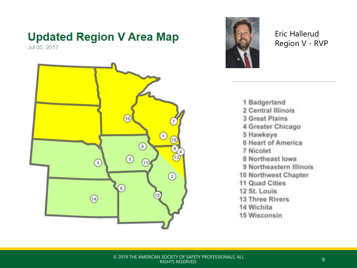## **Updated Region V Area Map**

Jul 05, 2017





Eric Hallerud Region V - RVP

1 Badgerland 2 Central Illinois 3 Great Plains 4 Greater Chicago 5 Hawkeye 6 Heart of America 7 Nicolet 8 Northeast lowa 9 Northeastern Illinois 10 Northwest Chapter 11 Quad Cities 12 St. Louis 13 Three Rivers 14 Wichita 15 Wisconsin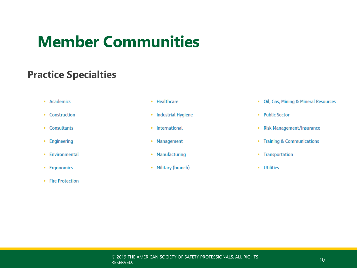### **Practice Specialties**

- Academics
- Construction
- Consultants
- Engineering
- Environmental
- Ergonomics
- Fire Protection
- Healthcare
- Industrial Hygiene
- International
- Management
- Manufacturing
- Military (branch)
- Oil, Gas, Mining & Mineral Resources
- Public Sector
- Risk Management/Insurance
- Training & Communications
- Transportation
- Utilities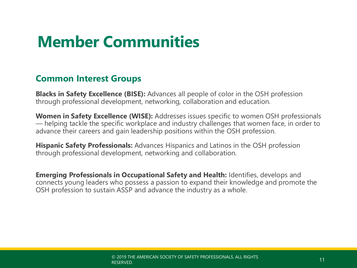### **Common Interest Groups**

**Blacks in Safety Excellence (BISE):** Advances all people of color in the OSH profession through professional development, networking, collaboration and education.

**Women in Safety Excellence (WISE):** Addresses issues specific to women OSH professionals — helping tackle the specific workplace and industry challenges that women face, in order to advance their careers and gain leadership positions within the OSH profession.

**Hispanic Safety Professionals:** Advances Hispanics and Latinos in the OSH profession through professional development, networking and collaboration.

**Emerging Professionals in Occupational Safety and Health:** Identifies, develops and connects young leaders who possess a passion to expand their knowledge and promote the OSH profession to sustain ASSP and advance the industry as a whole.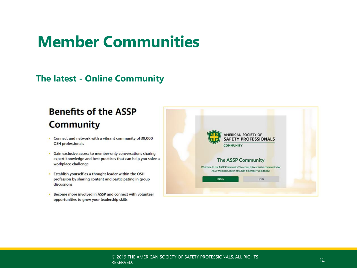### **The latest - Online Community**

### **Benefits of the ASSP Community**

- Connect and network with a vibrant community of 38,000 **OSH** professionals
- Gain exclusive access to member-only conversations sharing expert knowledge and best practices that can help you solve a workplace challenge
- Establish yourself as a thought-leader within the OSH profession by sharing content and participating in group discussions
- Become more involved in ASSP and connect with volunteer opportunities to grow your leadership skills

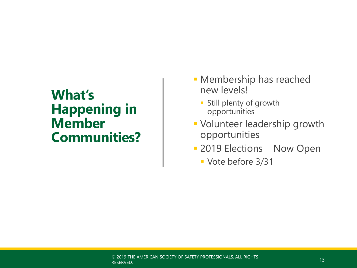## **What's Happening in Member Communities?**

- **E** Membership has reached new levels!
	- Still plenty of growth opportunities
- Volunteer leadership growth opportunities
- **2019 Elections Now Open** 
	- Vote before 3/31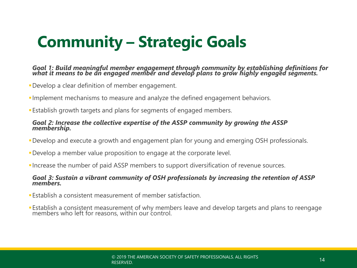# **Community – Strategic Goals**

#### *Goal 1: Build meaningful member engagement through community by establishing definitions for what it means to be an engaged member and develop plans to grow highly engaged segments.*

- **•Develop a clear definition of member engagement.**
- **Implement mechanisms to measure and analyze the defined engagement behaviors.**
- **Establish growth targets and plans for segments of engaged members.**

#### *Goal 2: Increase the collective expertise of the ASSP community by growing the ASSP membership.*

- ▪Develop and execute a growth and engagement plan for young and emerging OSH professionals.
- ▪Develop a member value proposition to engage at the corporate level.
- **Increase the number of paid ASSP members to support diversification of revenue sources.**

#### *Goal 3: Sustain a vibrant community of OSH professionals by increasing the retention of ASSP members.*

- **Establish a consistent measurement of member satisfaction.**
- **Establish a consistent measurement of why members leave and develop targets and plans to reengage** members who left for reasons, within our control.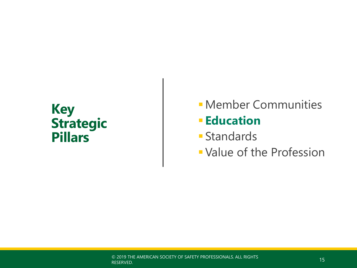### **Key Strategic Pillars**

- *E* Member Communities ▪ **Education**
- **E** Standards
- **Value of the Profession**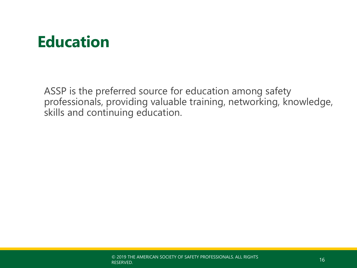# **Education**

ASSP is the preferred source for education among safety professionals, providing valuable training, networking, knowledge, skills and continuing education.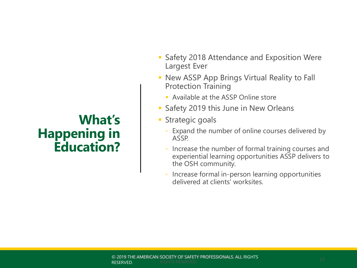## **What's Happening in Education?**

- Safety 2018 Attendance and Exposition Were Largest Ever
- New ASSP App Brings Virtual Reality to Fall Protection Training
	- **Available at the ASSP Online store**
- Safety 2019 this June in New Orleans
- **Exercise Strategic goals** 
	- Expand the number of online courses delivered by ASSP.
	- Increase the number of formal training courses and experiential learning opportunities ASSP delivers to the OSH community.
	- Increase formal in-person learning opportunities delivered at clients' worksites.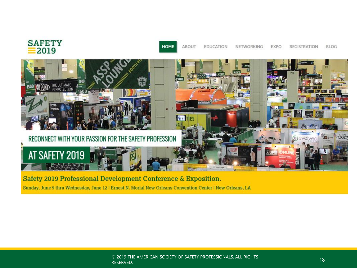

Safety 2019 Professional Development Conference & Exposition.

Sunday, June 9 thru Wednesday, June 12 | Ernest N. Morial New Orleans Convention Center | New Orleans, LA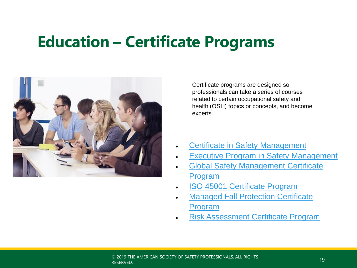## **Education – Certificate Programs**



Certificate programs are designed so professionals can take a series of courses related to certain occupational safety and health (OSH) topics or concepts, and become experts.

- [Certificate in Safety Management](https://www.assp.org/education/certificate-programs/safety-management)
- **[Executive Program in Safety Management](https://www.assp.org/education/certificate-programs/executive-program-in-safety-management)**
- **Global Safety Management Certificate** Program
- [ISO 45001 Certificate Program](https://www.assp.org/education/certificate-programs/iso-45001)
- **[Managed Fall Protection Certificate](https://www.assp.org/education/certificate-programs/managed-fall-protection)** Program
- [Risk Assessment Certificate Program](https://www.assp.org/education/certificate-programs/risk-assessment)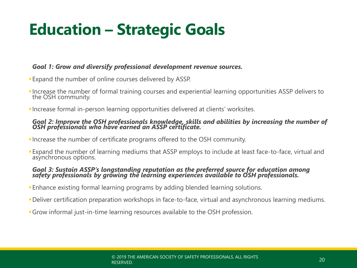# **Education – Strategic Goals**

#### *Goal 1: Grow and diversify professional development revenue sources.*

- ▪Expand the number of online courses delivered by ASSP.
- ▪Increase the number of formal training courses and experiential learning opportunities ASSP delivers to the OSH community.
- ▪Increase formal in-person learning opportunities delivered at clients' worksites.

#### *Goal 2: Improve the OSH professionals knowledge, skills and abilities by increasing the number of OSH professionals who have earned an ASSP certificate.*

- ▪Increase the number of certificate programs offered to the OSH community.
- **Expand the number of learning mediums that ASSP employs to include at least face-to-face, virtual and** asynchronous options.

#### *Goal 3: Sustain ASSP's longstanding reputation as the preferred source for education among safety professionals by growing the learning experiences available to OSH professionals.*

- **Enhance existing formal learning programs by adding blended learning solutions.**
- ▪Deliver certification preparation workshops in face-to-face, virtual and asynchronous learning mediums.
- ▪Grow informal just-in-time learning resources available to the OSH profession.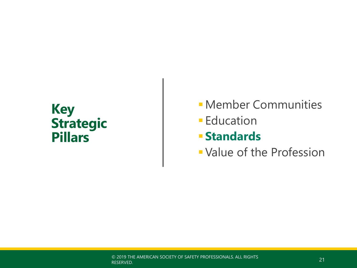### **Key Strategic Pillars**

*E* Member Communities **Education** ▪ **Standards · Value of the Profession**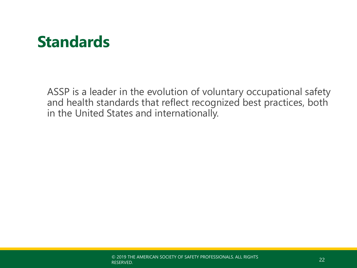## **Standards**

ASSP is a leader in the evolution of voluntary occupational safety and health standards that reflect recognized best practices, both in the United States and internationally.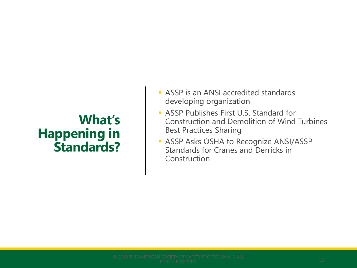## **What's Happening in Standards?**

- ASSP is an ANSI accredited standards developing organization
- **E** ASSP Publishes First U.S. Standard for Construction and Demolition of Wind Turbines Best Practices Sharing
- **EXECTE ASSP Asks OSHA to Recognize ANSI/ASSP** Standards for Cranes and Derricks in Construction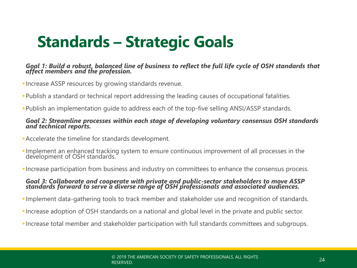# **Standards – Strategic Goals**

#### *Goal 1: Build a robust, balanced line of business to reflect the full life cycle of OSH standards that affect members and the profession.*

- **Increase ASSP resources by growing standards revenue.**
- ▪Publish a standard or technical report addressing the leading causes of occupational fatalities.
- ▪Publish an implementation guide to address each of the top-five selling ANSI/ASSP standards.

#### *Goal 2: Streamline processes within each stage of developing voluntary consensus OSH standards and technical reports.*

- ▪Accelerate the timeline for standards development.
- **Implement an enhanced tracking system to ensure continuous improvement of all processes in the** development of OSH standards.
- **Increase participation from business and industry on committees to enhance the consensus process.**

#### *Goal 3: Collaborate and cooperate with private and public-sector stakeholders to move ASSP standards forward to serve a diverse range of OSH professionals and associated audiences.*

- ▪Implement data-gathering tools to track member and stakeholder use and recognition of standards.
- ▪Increase adoption of OSH standards on a national and global level in the private and public sector.
- ▪Increase total member and stakeholder participation with full standards committees and subgroups.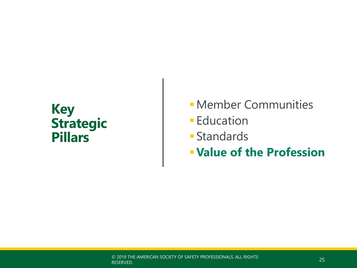### **Key Strategic Pillars**

- *E* Member Communities
- **Education**
- Standards
- ▪**Value of the Profession**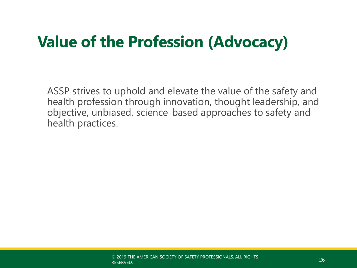# **Value of the Profession (Advocacy)**

ASSP strives to uphold and elevate the value of the safety and health profession through innovation, thought leadership, and objective, unbiased, science-based approaches to safety and health practices.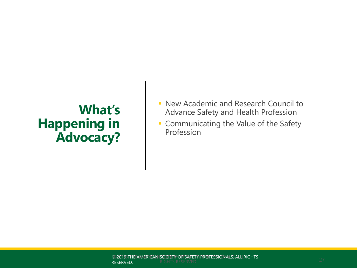### **What's Happening in Advocacy?**

- **E** New Academic and Research Council to Advance Safety and Health Profession
- **Communicating the Value of the Safety** Profession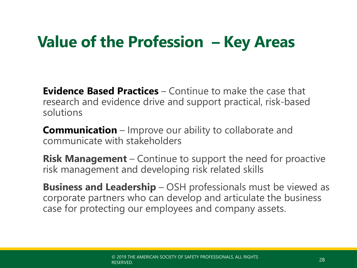# **Value of the Profession – Key Areas**

**Evidence Based Practices** – Continue to make the case that research and evidence drive and support practical, risk-based solutions

**Communication** – Improve our ability to collaborate and communicate with stakeholders

**Risk Management** – Continue to support the need for proactive risk management and developing risk related skills

**Business and Leadership** – OSH professionals must be viewed as corporate partners who can develop and articulate the business case for protecting our employees and company assets.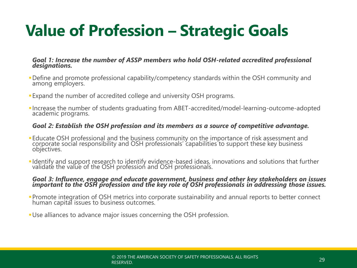# **Value of Profession – Strategic Goals**

#### *Goal 1: Increase the number of ASSP members who hold OSH-related accredited professional designations.*

- ▪Define and promote professional capability/competency standards within the OSH community and among employers.
- **Expand the number of accredited college and university OSH programs.**
- ▪Increase the number of students graduating from ABET-accredited/model-learning-outcome-adopted academic programs.

#### *Goal 2: Establish the OSH profession and its members as a source of competitive advantage.*

- **Educate OSH professional and the business community on the importance of risk assessment and** corporate social responsibility and OSH professionals' capabilities to support these key business objectives.
- ▪Identify and support research to identify evidence-based ideas, innovations and solutions that further validate the value of the OSH profession and OSH professionals.

#### *Goal 3: Influence, engage and educate government, business and other key stakeholders on issues important to the OSH profession and the key role of OSH professionals in addressing those issues.*

- ▪Promote integration of OSH metrics into corporate sustainability and annual reports to better connect human capital issues to business outcomes.
- ▪Use alliances to advance major issues concerning the OSH profession.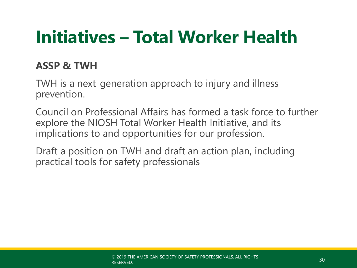# **Initiatives – Total Worker Health**

### **ASSP & TWH**

TWH is a next-generation approach to injury and illness prevention.

Council on Professional Affairs has formed a task force to further explore the NIOSH Total Worker Health Initiative, and its implications to and opportunities for our profession.

Draft a position on TWH and draft an action plan, including practical tools for safety professionals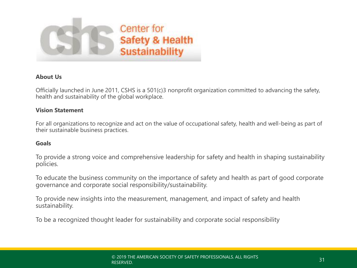

#### **About Us**

Officially launched in June 2011, CSHS is a 501(c)3 nonprofit organization committed to advancing the safety, health and sustainability of the global workplace.

#### **Vision Statement**

For all organizations to recognize and act on the value of occupational safety, health and well-being as part of their sustainable business practices.

#### **Goals**

To provide a strong voice and comprehensive leadership for safety and health in shaping sustainability policies.

To educate the business community on the importance of safety and health as part of good corporate governance and corporate social responsibility/sustainability.

To provide new insights into the measurement, management, and impact of safety and health sustainability.

To be a recognized thought leader for sustainability and corporate social responsibility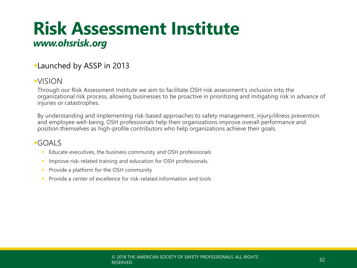## **Risk Assessment Institute** *www.ohsrisk.org*

### **Launched by ASSP in 2013**

### ▪VISION

Through our Risk Assessment Institute we aim to facilitate OSH risk assessment's inclusion into the organizational risk process, allowing businesses to be proactive in prioritizing and mitigating risk in advance of injuries or catastrophes.

By understanding and implementing risk-based approaches to safety management, injury/illness prevention and employee well-being, OSH professionals help their organizations improve overall performance and position themselves as high-profile contributors who help organizations achieve their goals.

### ▪GOALS

- Educate executives, the business community and OSH professionals
- **EXECT** Improve risk-related training and education for OSH professionals.
- **•** Provide a platform for the OSH community
- Provide a center of excellence for risk-related information and tools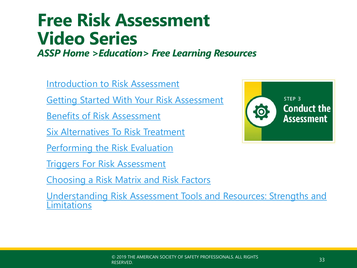# **Free Risk Assessment Video Series**

*ASSP Home >Education> Free Learning Resources*

[Introduction to Risk Assessment](https://vimeo.com/278524546)

[Getting Started With Your Risk Assessment](http://vimeo.com/278525782)

[Benefits of Risk Assessment](http://vimeo.com/278525409)

[Six Alternatives To Risk Treatment](http://vimeo.com/278561257)

[Performing the Risk Evaluation](http://vimeo.com/278560944)

[Triggers For Risk Assessment](http://vimeo.com/278560664)

[Choosing a Risk Matrix and Risk Factors](http://vimeo.com/278560310)

[Understanding Risk Assessment Tools and Resources: Strengths and](http://vimeo.com/278526254) Limitations

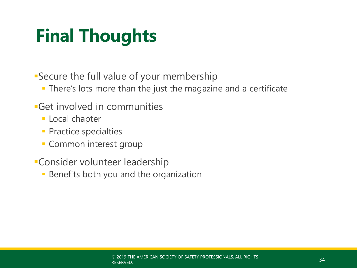# **Final Thoughts**

**Secure the full value of your membership** 

- **There's lots more than the just the magazine and a certificate**
- **•Get involved in communities** 
	- **ELocal chapter**
	- **Practice specialties**
	- **Common interest group**
- **Consider volunteer leadership** 
	- **EXEC** Benefits both you and the organization